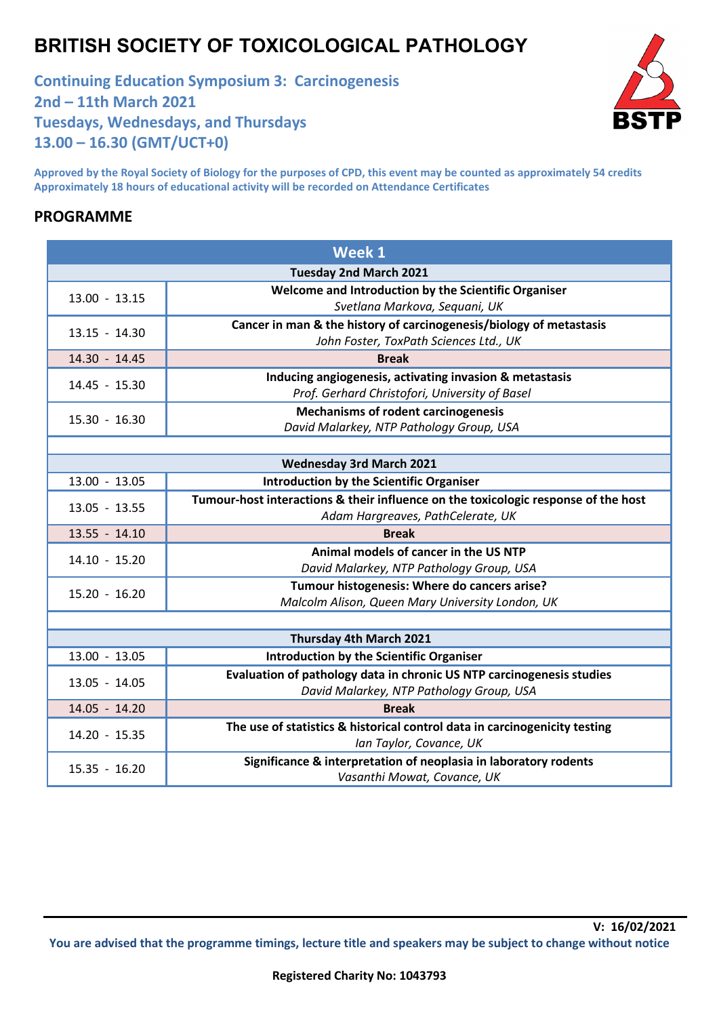## **BRITISH SOCIETY OF TOXICOLOGICAL PATHOLOGY**

**Continuing Education Symposium 3: Carcinogenesis 2nd – 11th March 2021 Tuesdays, Wednesdays, and Thursdays 13.00 – 16.30 (GMT/UCT+0)**



**Approved by the Royal Society of Biology for the purposes of CPD, this event may be counted as approximately 54 credits Approximately 18 hours of educational activity will be recorded on Attendance Certificates** 

## **PROGRAMME**

| Week 1                          |                                                                                    |  |
|---------------------------------|------------------------------------------------------------------------------------|--|
| <b>Tuesday 2nd March 2021</b>   |                                                                                    |  |
| $13.00 - 13.15$                 | Welcome and Introduction by the Scientific Organiser                               |  |
|                                 | Svetlana Markova, Sequani, UK                                                      |  |
| $13.15 - 14.30$                 | Cancer in man & the history of carcinogenesis/biology of metastasis                |  |
|                                 | John Foster, ToxPath Sciences Ltd., UK                                             |  |
| 14.30 - 14.45                   | <b>Break</b>                                                                       |  |
| 14.45 - 15.30                   | Inducing angiogenesis, activating invasion & metastasis                            |  |
|                                 | Prof. Gerhard Christofori, University of Basel                                     |  |
| 15.30 - 16.30                   | <b>Mechanisms of rodent carcinogenesis</b>                                         |  |
|                                 | David Malarkey, NTP Pathology Group, USA                                           |  |
|                                 |                                                                                    |  |
| <b>Wednesday 3rd March 2021</b> |                                                                                    |  |
| $13.00 - 13.05$                 | <b>Introduction by the Scientific Organiser</b>                                    |  |
| $13.05 - 13.55$                 | Tumour-host interactions & their influence on the toxicologic response of the host |  |
|                                 | Adam Hargreaves, PathCelerate, UK                                                  |  |
| $13.55 - 14.10$                 | <b>Break</b>                                                                       |  |
| $14.10 - 15.20$                 | Animal models of cancer in the US NTP                                              |  |
|                                 | David Malarkey, NTP Pathology Group, USA                                           |  |
| $15.20 - 16.20$                 | Tumour histogenesis: Where do cancers arise?                                       |  |
|                                 | Malcolm Alison, Queen Mary University London, UK                                   |  |
|                                 |                                                                                    |  |
| Thursday 4th March 2021         |                                                                                    |  |
| 13.00 - 13.05                   | <b>Introduction by the Scientific Organiser</b>                                    |  |
| 13.05 - 14.05                   | Evaluation of pathology data in chronic US NTP carcinogenesis studies              |  |
|                                 | David Malarkey, NTP Pathology Group, USA                                           |  |
| 14.05 - 14.20                   | <b>Break</b>                                                                       |  |
| 14.20 - 15.35                   | The use of statistics & historical control data in carcinogenicity testing         |  |
|                                 | Ian Taylor, Covance, UK                                                            |  |
| 15.35 - 16.20                   | Significance & interpretation of neoplasia in laboratory rodents                   |  |
|                                 | Vasanthi Mowat, Covance, UK                                                        |  |